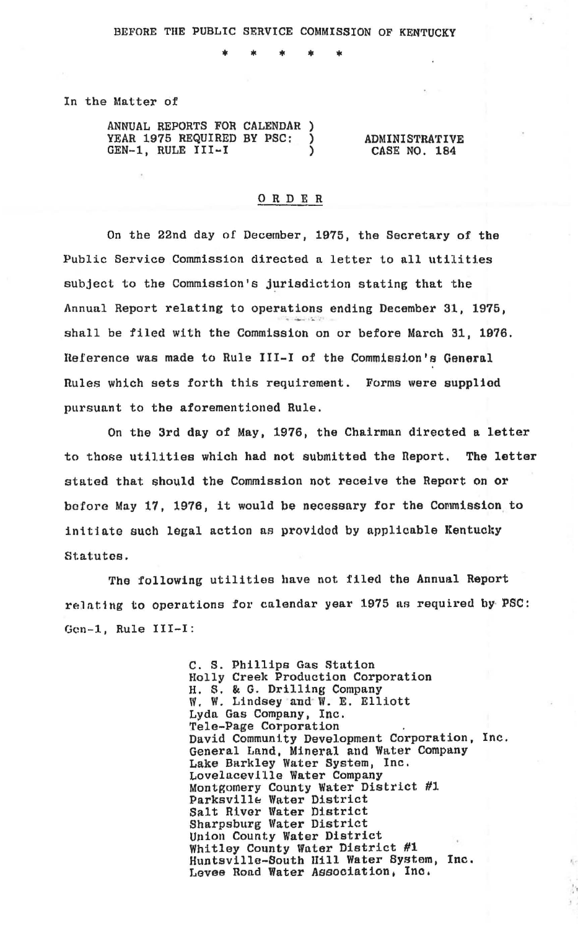\*

In the Matter of

| ANNUAL REPORTS FOR CALENDAR) |  |                       |
|------------------------------|--|-----------------------|
| YEAR 1975 REQUIRED BY PSC:   |  | <b>ADMINISTRATIVE</b> |
| GEN-1, RULE III-I            |  | CASE NO. 184          |

## 0 R DE R

On the 22nd day of December, 1975, the Secretary of the Public Service Commission directed a letter to all utilities subject to the Commission's jurisdiction stating that the Annual Report relating to operations ending December 31, 1975, shall be filed with the Commission on or before March 31, 1976. Reference was made to Rule III-I of the Commission's General nules which sets forth this requirement. Forms were supplied pursuant to the aforementioned Rule.

On the 3rd day of May, 1976, the Chairman directed a letter to those utilities which had not submitted the neport. The letter stated that should the Commission not receive the Report on or before May 17, 1976, it would be necessary for the Commission to initiate such legal action as provided by applicable Kentucky Statutes.

The following utilities have not filed the Annual Report relating to operations for calendar year 1975 as required by PSC: Gen-1, Rule III-I:

> C. S. Phillips Gas Station Holly Creelt Production Corporation H. S. & G. Drilling Company W. W. Lindsey and W. E. Elliott Lyda Gas Company, Inc.<br>Tele-Page Corporation David Community Development Corporation, Inc. General Land, Mineral and Water Company Lake Barkley Water System, Inc. Montgomery County Water District #1 Parksville Water District Salt River Water District Sharpsburg Water District Union County Water District Whitley County Water District #1 Huntsville-South Hill Water System, Inc. Levee Road Water Association, Inc.